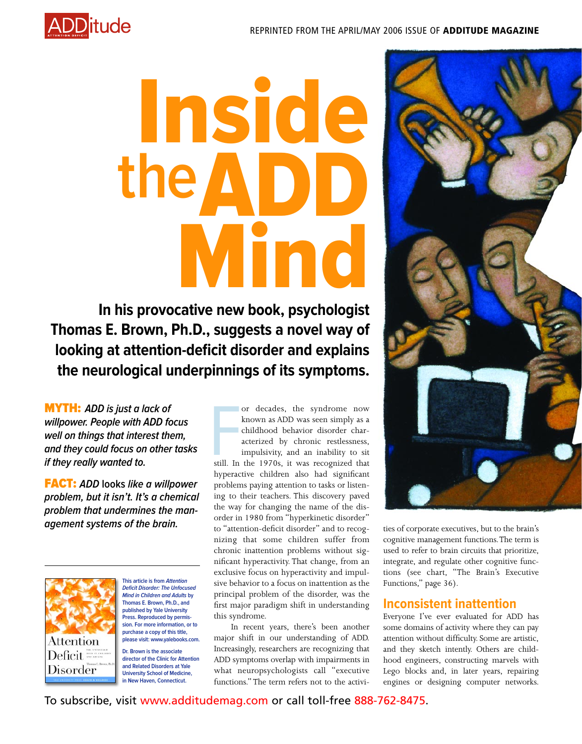

# Inside the  $\overline{\mathbf{\Lambda}}$ Mind **In his provocative new book, psychologist**

**Thomas E. Brown, Ph.D., suggests a novel way of looking at attention-deficit disorder and explains the neurological underpinnings of its symptoms.**

MYTH: **ADD is just a lack of willpower. People with ADD focus well on things that interest them, and they could focus on other tasks if they really wanted to.**

FACT: **ADD looks like a willpower problem, but it isn't. It's a chemical problem that undermines the management systems of the brain.**



**This article is from Attention Deficit Disorder: The Unfocused Mind in Children and Adults by Thomas E. Brown, Ph.D., and published by Yale University Press. Reproduced by permission. For more information, or to purchase a copy of this title, please visit: www.yalebooks.com.**

**Dr. Brown is the associate director of the Clinic for Attention and Related Disorders at Yale University School of Medicine, in New Haven, Connecticut.**

or decades, the syndrome now<br>known as ADD was seen simply as a<br>childhood behavior disorder char-<br>acterized by chronic restlessness,<br>impulsivity, and an inability to sit<br>still. In the 1970s, it was recognized that<br>by a sing or decades, the syndrome now known as ADD was seen simply as a childhood behavior disorder characterized by chronic restlessness, impulsivity, and an inability to sit hyperactive children also had significant problems paying attention to tasks or listening to their teachers. This discovery paved the way for changing the name of the disorder in 1980 from "hyperkinetic disorder" to "attention-deficit disorder" and to recognizing that some children suffer from chronic inattention problems without significant hyperactivity. That change, from an exclusive focus on hyperactivity and impulsive behavior to a focus on inattention as the principal problem of the disorder, was the first major paradigm shift in understanding this syndrome.

In recent years, there's been another major shift in our understanding of ADD. Increasingly, researchers are recognizing that ADD symptoms overlap with impairments in what neuropsychologists call "executive functions." The term refers not to the activi-



ties of corporate executives, but to the brain's cognitive management functions.The term is used to refer to brain circuits that prioritize, integrate, and regulate other cognitive functions (see chart, "The Brain's Executive Functions," page 36).

## **Inconsistent inattention**

Everyone I've ever evaluated for ADD has some domains of activity where they can pay attention without difficulty. Some are artistic, and they sketch intently. Others are childhood engineers, constructing marvels with Lego blocks and, in later years, repairing engines or designing computer networks.

To subscribe, visit www.additudemag.com or call toll-free 888-762-8475.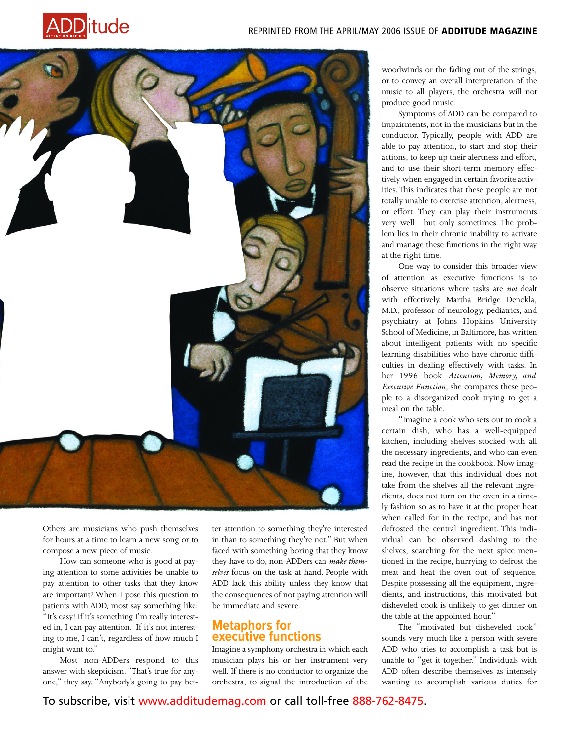



Others are musicians who push themselves for hours at a time to learn a new song or to compose a new piece of music.

How can someone who is good at paying attention to some activities be unable to pay attention to other tasks that they know are important? When I pose this question to patients with ADD, most say something like: "It's easy! If it's something I'm really interested in, I can pay attention. If it's not interesting to me, I can't, regardless of how much I might want to."

Most non-ADDers respond to this answer with skepticism. "That's true for anyone," they say. "Anybody's going to pay better attention to something they're interested in than to something they're not." But when faced with something boring that they know they have to do, non-ADDers can *make themselves* focus on the task at hand. People with ADD lack this ability unless they know that the consequences of not paying attention will be immediate and severe.

### **Metaphors for executive functions**

Imagine a symphony orchestra in which each musician plays his or her instrument very well. If there is no conductor to organize the orchestra, to signal the introduction of the

woodwinds or the fading out of the strings, or to convey an overall interpretation of the music to all players, the orchestra will not produce good music.

Symptoms of ADD can be compared to impairments, not in the musicians but in the conductor. Typically, people with ADD are able to pay attention, to start and stop their actions, to keep up their alertness and effort, and to use their short-term memory effectively when engaged in certain favorite activities. This indicates that these people are not totally unable to exercise attention, alertness, or effort. They can play their instruments very well—but only sometimes. The problem lies in their chronic inability to activate and manage these functions in the right way at the right time.

One way to consider this broader view of attention as executive functions is to observe situations where tasks are *not* dealt with effectively. Martha Bridge Denckla, M.D., professor of neurology, pediatrics, and psychiatry at Johns Hopkins University School of Medicine, in Baltimore, has written about intelligent patients with no specific learning disabilities who have chronic difficulties in dealing effectively with tasks. In her 1996 book *Attention, Memory, and Executive Function*, she compares these people to a disorganized cook trying to get a meal on the table.

"Imagine a cook who sets out to cook a certain dish, who has a well-equipped kitchen, including shelves stocked with all the necessary ingredients, and who can even read the recipe in the cookbook. Now imagine, however, that this individual does not take from the shelves all the relevant ingredients, does not turn on the oven in a timely fashion so as to have it at the proper heat when called for in the recipe, and has not defrosted the central ingredient. This individual can be observed dashing to the shelves, searching for the next spice mentioned in the recipe, hurrying to defrost the meat and heat the oven out of sequence. Despite possessing all the equipment, ingredients, and instructions, this motivated but disheveled cook is unlikely to get dinner on the table at the appointed hour."

The "motivated but disheveled cook" sounds very much like a person with severe ADD who tries to accomplish a task but is unable to "get it together." Individuals with ADD often describe themselves as intensely wanting to accomplish various duties for

To subscribe, visit www.additudemag.com or call toll-free 888-762-8475.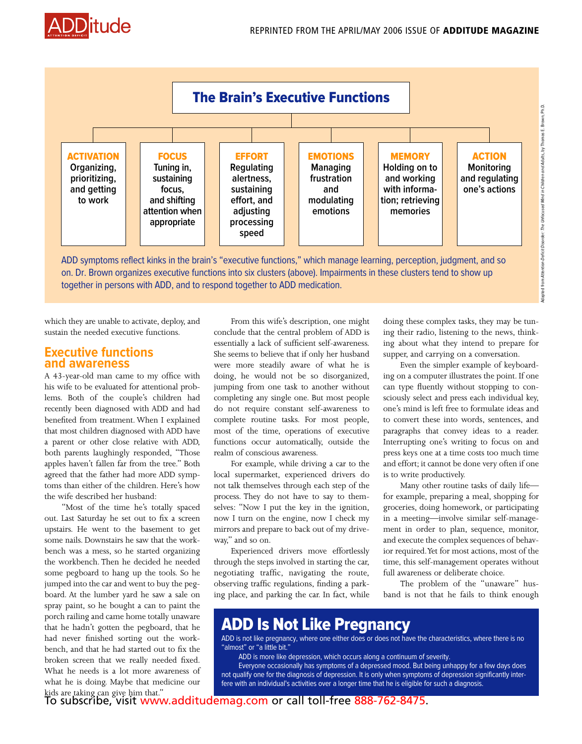



on. Dr. Brown organizes executive functions into six clusters (above). Impairments in these clusters tend to show up together in persons with ADD, and to respond together to ADD medication.

which they are unable to activate, deploy, and sustain the needed executive functions.

#### **Executive functions and awareness**

A 43-year-old man came to my office with his wife to be evaluated for attentional problems. Both of the couple's children had recently been diagnosed with ADD and had benefited from treatment. When I explained that most children diagnosed with ADD have a parent or other close relative with ADD, both parents laughingly responded, "Those apples haven't fallen far from the tree." Both agreed that the father had more ADD symptoms than either of the children. Here's how the wife described her husband:

"Most of the time he's totally spaced out. Last Saturday he set out to fix a screen upstairs. He went to the basement to get some nails. Downstairs he saw that the workbench was a mess, so he started organizing the workbench. Then he decided he needed some pegboard to hang up the tools. So he jumped into the car and went to buy the pegboard. At the lumber yard he saw a sale on spray paint, so he bought a can to paint the porch railing and came home totally unaware that he hadn't gotten the pegboard, that he had never finished sorting out the workbench, and that he had started out to fix the broken screen that we really needed fixed. What he needs is a lot more awareness of what he is doing. Maybe that medicine our kids are taking can give him that."

From this wife's description, one might conclude that the central problem of ADD is essentially a lack of sufficient self-awareness. She seems to believe that if only her husband were more steadily aware of what he is doing, he would not be so disorganized, jumping from one task to another without completing any single one. But most people do not require constant self-awareness to complete routine tasks. For most people, most of the time, operations of executive functions occur automatically, outside the realm of conscious awareness.

For example, while driving a car to the local supermarket, experienced drivers do not talk themselves through each step of the process. They do not have to say to themselves: "Now I put the key in the ignition, now I turn on the engine, now I check my mirrors and prepare to back out of my driveway," and so on.

Experienced drivers move effortlessly through the steps involved in starting the car, negotiating traffic, navigating the route, observing traffic regulations, finding a parking place, and parking the car. In fact, while doing these complex tasks, they may be tuning their radio, listening to the news, thinking about what they intend to prepare for supper, and carrying on a conversation.

Adapted from Attention-Deficit Disorder: The Unfocused Mind in Children and Adults**,** by Thomas E. Brown, Ph.D.

Even the simpler example of keyboarding on a computer illustrates the point. If one can type fluently without stopping to consciously select and press each individual key, one's mind is left free to formulate ideas and to convert these into words, sentences, and paragraphs that convey ideas to a reader. Interrupting one's writing to focus on and press keys one at a time costs too much time and effort; it cannot be done very often if one is to write productively.

Many other routine tasks of daily life for example, preparing a meal, shopping for groceries, doing homework, or participating in a meeting—involve similar self-management in order to plan, sequence, monitor, and execute the complex sequences of behavior required.Yet for most actions, most of the time, this self-management operates without full awareness or deliberate choice.

The problem of the "unaware" husband is not that he fails to think enough

# ADD Is Not Like Pregnancy

ADD is not like pregnancy, where one either does or does not have the characteristics, where there is no "almost" or "a little bit."

ADD is more like depression, which occurs along a continuum of severity.

Everyone occasionally has symptoms of a depressed mood. But being unhappy for a few days does not qualify one for the diagnosis of depression. It is only when symptoms of depression significantly interfere with an individual's activities over a longer time that he is eligible for such a diagnosis.